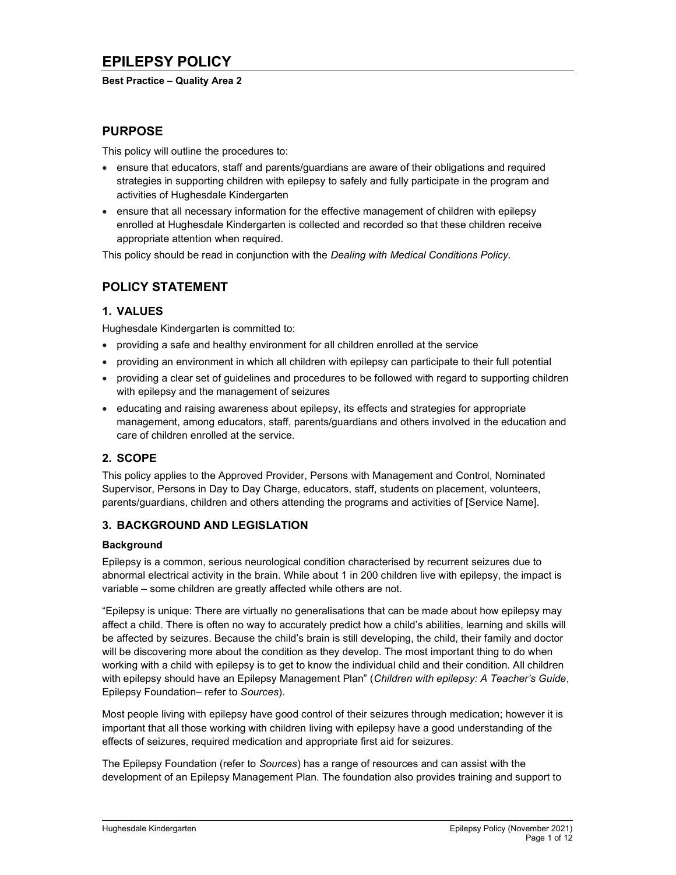#### Best Practice – Quality Area 2

## PURPOSE

This policy will outline the procedures to:

- ensure that educators, staff and parents/guardians are aware of their obligations and required strategies in supporting children with epilepsy to safely and fully participate in the program and activities of Hughesdale Kindergarten
- ensure that all necessary information for the effective management of children with epilepsy enrolled at Hughesdale Kindergarten is collected and recorded so that these children receive appropriate attention when required.

This policy should be read in conjunction with the Dealing with Medical Conditions Policy.

# POLICY STATEMENT

## 1. VALUES

Hughesdale Kindergarten is committed to:

- providing a safe and healthy environment for all children enrolled at the service
- providing an environment in which all children with epilepsy can participate to their full potential
- providing a clear set of guidelines and procedures to be followed with regard to supporting children with epilepsy and the management of seizures
- educating and raising awareness about epilepsy, its effects and strategies for appropriate management, among educators, staff, parents/guardians and others involved in the education and care of children enrolled at the service.

## 2. SCOPE

This policy applies to the Approved Provider, Persons with Management and Control, Nominated Supervisor, Persons in Day to Day Charge, educators, staff, students on placement, volunteers, parents/guardians, children and others attending the programs and activities of [Service Name].

## 3. BACKGROUND AND LEGISLATION

### **Background**

Epilepsy is a common, serious neurological condition characterised by recurrent seizures due to abnormal electrical activity in the brain. While about 1 in 200 children live with epilepsy, the impact is variable – some children are greatly affected while others are not.

"Epilepsy is unique: There are virtually no generalisations that can be made about how epilepsy may affect a child. There is often no way to accurately predict how a child's abilities, learning and skills will be affected by seizures. Because the child's brain is still developing, the child, their family and doctor will be discovering more about the condition as they develop. The most important thing to do when working with a child with epilepsy is to get to know the individual child and their condition. All children with epilepsy should have an Epilepsy Management Plan" (Children with epilepsy: A Teacher's Guide, Epilepsy Foundation– refer to Sources).

Most people living with epilepsy have good control of their seizures through medication; however it is important that all those working with children living with epilepsy have a good understanding of the effects of seizures, required medication and appropriate first aid for seizures.

The Epilepsy Foundation (refer to Sources) has a range of resources and can assist with the development of an Epilepsy Management Plan. The foundation also provides training and support to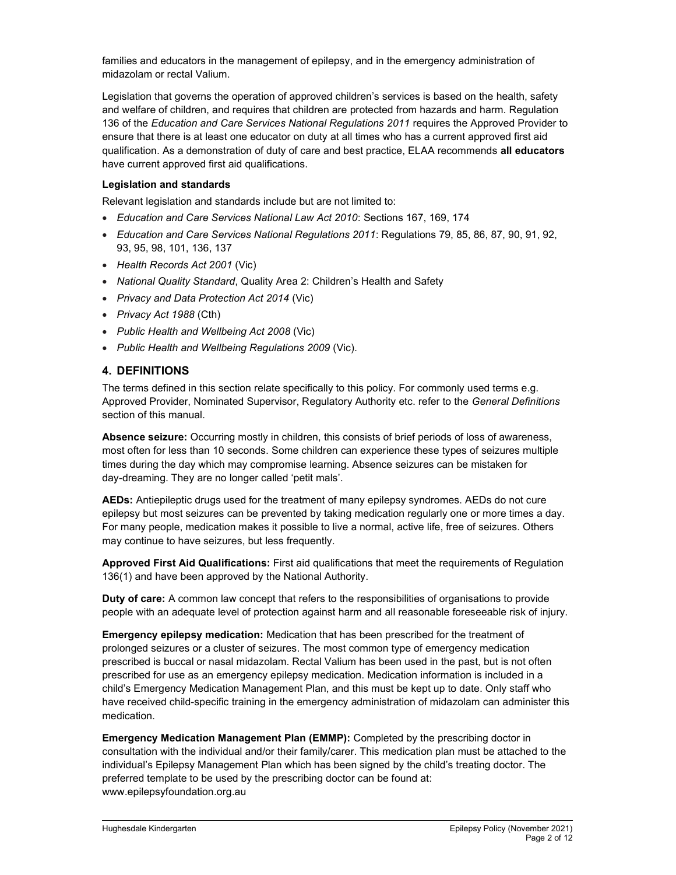families and educators in the management of epilepsy, and in the emergency administration of midazolam or rectal Valium.

Legislation that governs the operation of approved children's services is based on the health, safety and welfare of children, and requires that children are protected from hazards and harm. Regulation 136 of the Education and Care Services National Regulations 2011 requires the Approved Provider to ensure that there is at least one educator on duty at all times who has a current approved first aid qualification. As a demonstration of duty of care and best practice, ELAA recommends all educators have current approved first aid qualifications.

#### Legislation and standards

Relevant legislation and standards include but are not limited to:

- Education and Care Services National Law Act 2010: Sections 167, 169, 174
- Education and Care Services National Regulations 2011: Regulations 79, 85, 86, 87, 90, 91, 92, 93, 95, 98, 101, 136, 137
- Health Records Act 2001 (Vic)
- National Quality Standard, Quality Area 2: Children's Health and Safety
- Privacy and Data Protection Act 2014 (Vic)
- Privacy Act 1988 (Cth)
- Public Health and Wellbeing Act 2008 (Vic)
- Public Health and Wellbeing Regulations 2009 (Vic).

### 4. DEFINITIONS

The terms defined in this section relate specifically to this policy. For commonly used terms e.g. Approved Provider, Nominated Supervisor, Regulatory Authority etc. refer to the General Definitions section of this manual.

Absence seizure: Occurring mostly in children, this consists of brief periods of loss of awareness, most often for less than 10 seconds. Some children can experience these types of seizures multiple times during the day which may compromise learning. Absence seizures can be mistaken for day-dreaming. They are no longer called 'petit mals'.

AEDs: Antiepileptic drugs used for the treatment of many epilepsy syndromes. AEDs do not cure epilepsy but most seizures can be prevented by taking medication regularly one or more times a day. For many people, medication makes it possible to live a normal, active life, free of seizures. Others may continue to have seizures, but less frequently.

Approved First Aid Qualifications: First aid qualifications that meet the requirements of Regulation 136(1) and have been approved by the National Authority.

Duty of care: A common law concept that refers to the responsibilities of organisations to provide people with an adequate level of protection against harm and all reasonable foreseeable risk of injury.

Emergency epilepsy medication: Medication that has been prescribed for the treatment of prolonged seizures or a cluster of seizures. The most common type of emergency medication prescribed is buccal or nasal midazolam. Rectal Valium has been used in the past, but is not often prescribed for use as an emergency epilepsy medication. Medication information is included in a child's Emergency Medication Management Plan, and this must be kept up to date. Only staff who have received child-specific training in the emergency administration of midazolam can administer this medication.

Emergency Medication Management Plan (EMMP): Completed by the prescribing doctor in consultation with the individual and/or their family/carer. This medication plan must be attached to the individual's Epilepsy Management Plan which has been signed by the child's treating doctor. The preferred template to be used by the prescribing doctor can be found at: www.epilepsyfoundation.org.au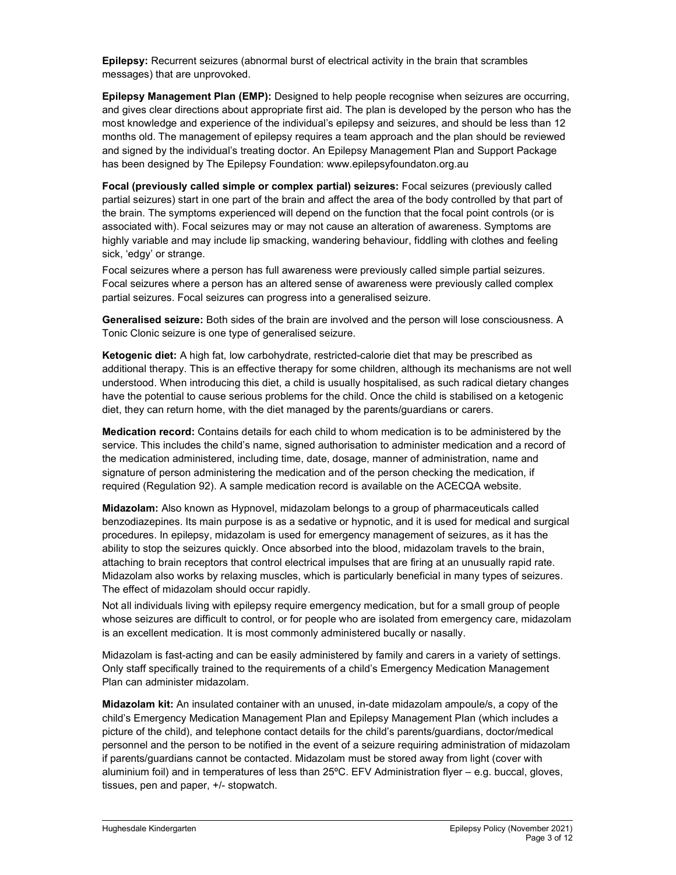Epilepsy: Recurrent seizures (abnormal burst of electrical activity in the brain that scrambles messages) that are unprovoked.

Epilepsy Management Plan (EMP): Designed to help people recognise when seizures are occurring, and gives clear directions about appropriate first aid. The plan is developed by the person who has the most knowledge and experience of the individual's epilepsy and seizures, and should be less than 12 months old. The management of epilepsy requires a team approach and the plan should be reviewed and signed by the individual's treating doctor. An Epilepsy Management Plan and Support Package has been designed by The Epilepsy Foundation: www.epilepsyfoundaton.org.au

Focal (previously called simple or complex partial) seizures: Focal seizures (previously called partial seizures) start in one part of the brain and affect the area of the body controlled by that part of the brain. The symptoms experienced will depend on the function that the focal point controls (or is associated with). Focal seizures may or may not cause an alteration of awareness. Symptoms are highly variable and may include lip smacking, wandering behaviour, fiddling with clothes and feeling sick, 'edgy' or strange.

Focal seizures where a person has full awareness were previously called simple partial seizures. Focal seizures where a person has an altered sense of awareness were previously called complex partial seizures. Focal seizures can progress into a generalised seizure.

Generalised seizure: Both sides of the brain are involved and the person will lose consciousness. A Tonic Clonic seizure is one type of generalised seizure.

Ketogenic diet: A high fat, low carbohydrate, restricted-calorie diet that may be prescribed as additional therapy. This is an effective therapy for some children, although its mechanisms are not well understood. When introducing this diet, a child is usually hospitalised, as such radical dietary changes have the potential to cause serious problems for the child. Once the child is stabilised on a ketogenic diet, they can return home, with the diet managed by the parents/guardians or carers.

Medication record: Contains details for each child to whom medication is to be administered by the service. This includes the child's name, signed authorisation to administer medication and a record of the medication administered, including time, date, dosage, manner of administration, name and signature of person administering the medication and of the person checking the medication, if required (Regulation 92). A sample medication record is available on the ACECQA website.

Midazolam: Also known as Hypnovel, midazolam belongs to a group of pharmaceuticals called benzodiazepines. Its main purpose is as a sedative or hypnotic, and it is used for medical and surgical procedures. In epilepsy, midazolam is used for emergency management of seizures, as it has the ability to stop the seizures quickly. Once absorbed into the blood, midazolam travels to the brain, attaching to brain receptors that control electrical impulses that are firing at an unusually rapid rate. Midazolam also works by relaxing muscles, which is particularly beneficial in many types of seizures. The effect of midazolam should occur rapidly.

Not all individuals living with epilepsy require emergency medication, but for a small group of people whose seizures are difficult to control, or for people who are isolated from emergency care, midazolam is an excellent medication. It is most commonly administered bucally or nasally.

Midazolam is fast-acting and can be easily administered by family and carers in a variety of settings. Only staff specifically trained to the requirements of a child's Emergency Medication Management Plan can administer midazolam.

Midazolam kit: An insulated container with an unused, in-date midazolam ampoule/s, a copy of the child's Emergency Medication Management Plan and Epilepsy Management Plan (which includes a picture of the child), and telephone contact details for the child's parents/guardians, doctor/medical personnel and the person to be notified in the event of a seizure requiring administration of midazolam if parents/guardians cannot be contacted. Midazolam must be stored away from light (cover with aluminium foil) and in temperatures of less than 25ºC. EFV Administration flyer – e.g. buccal, gloves, tissues, pen and paper, +/- stopwatch.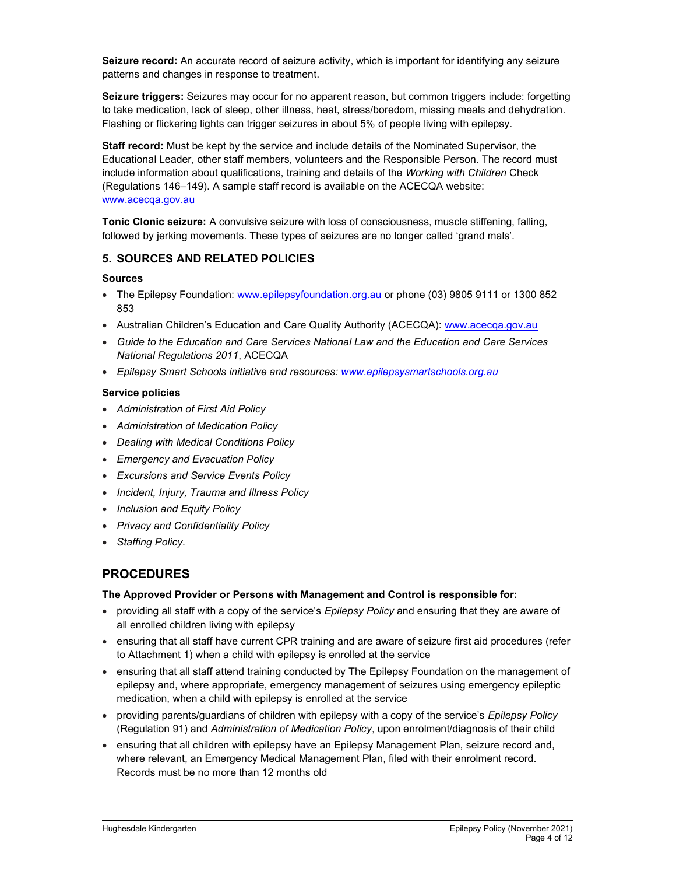Seizure record: An accurate record of seizure activity, which is important for identifying any seizure patterns and changes in response to treatment.

Seizure triggers: Seizures may occur for no apparent reason, but common triggers include: forgetting to take medication, lack of sleep, other illness, heat, stress/boredom, missing meals and dehydration. Flashing or flickering lights can trigger seizures in about 5% of people living with epilepsy.

Staff record: Must be kept by the service and include details of the Nominated Supervisor, the Educational Leader, other staff members, volunteers and the Responsible Person. The record must include information about qualifications, training and details of the Working with Children Check (Regulations 146–149). A sample staff record is available on the ACECQA website: www.acecqa.gov.au

Tonic Clonic seizure: A convulsive seizure with loss of consciousness, muscle stiffening, falling, followed by jerking movements. These types of seizures are no longer called 'grand mals'.

### 5. SOURCES AND RELATED POLICIES

#### Sources

- The Epilepsy Foundation: www.epilepsyfoundation.org.au or phone (03) 9805 9111 or 1300 852 853
- Australian Children's Education and Care Quality Authority (ACECQA): www.acecqa.gov.au
- Guide to the Education and Care Services National Law and the Education and Care Services National Regulations 2011, ACECQA
- Epilepsy Smart Schools initiative and resources: www.epilepsysmartschools.org.au

### Service policies

- Administration of First Aid Policy
- Administration of Medication Policy
- Dealing with Medical Conditions Policy
- Emergency and Evacuation Policy
- Excursions and Service Events Policy
- Incident, Injury, Trauma and Illness Policy
- Inclusion and Equity Policy
- Privacy and Confidentiality Policy
- Staffing Policy.

## PROCEDURES

#### The Approved Provider or Persons with Management and Control is responsible for:

- providing all staff with a copy of the service's *Epilepsy Policy* and ensuring that they are aware of all enrolled children living with epilepsy
- ensuring that all staff have current CPR training and are aware of seizure first aid procedures (refer to Attachment 1) when a child with epilepsy is enrolled at the service
- ensuring that all staff attend training conducted by The Epilepsy Foundation on the management of epilepsy and, where appropriate, emergency management of seizures using emergency epileptic medication, when a child with epilepsy is enrolled at the service
- providing parents/guardians of children with epilepsy with a copy of the service's Epilepsy Policy (Regulation 91) and Administration of Medication Policy, upon enrolment/diagnosis of their child
- ensuring that all children with epilepsy have an Epilepsy Management Plan, seizure record and, where relevant, an Emergency Medical Management Plan, filed with their enrolment record. Records must be no more than 12 months old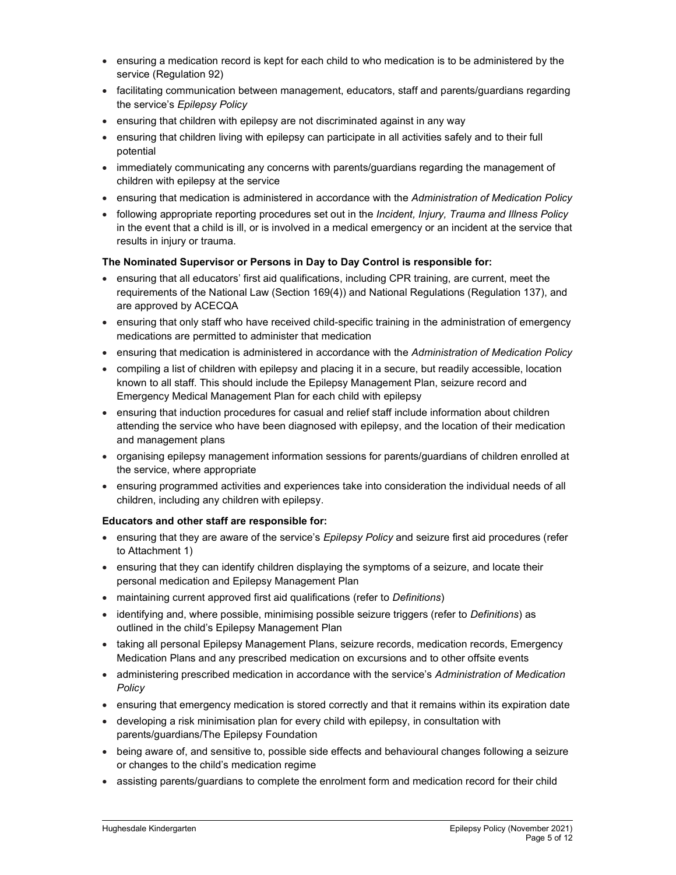- ensuring a medication record is kept for each child to who medication is to be administered by the service (Regulation 92)
- facilitating communication between management, educators, staff and parents/guardians regarding the service's Epilepsy Policy
- ensuring that children with epilepsy are not discriminated against in any way
- ensuring that children living with epilepsy can participate in all activities safely and to their full potential
- immediately communicating any concerns with parents/guardians regarding the management of children with epilepsy at the service
- ensuring that medication is administered in accordance with the Administration of Medication Policy
- following appropriate reporting procedures set out in the *Incident, Injury, Trauma and Illness Policy* in the event that a child is ill, or is involved in a medical emergency or an incident at the service that results in injury or trauma.

### The Nominated Supervisor or Persons in Day to Day Control is responsible for:

- ensuring that all educators' first aid qualifications, including CPR training, are current, meet the requirements of the National Law (Section 169(4)) and National Regulations (Regulation 137), and are approved by ACECQA
- ensuring that only staff who have received child-specific training in the administration of emergency medications are permitted to administer that medication
- ensuring that medication is administered in accordance with the Administration of Medication Policy
- compiling a list of children with epilepsy and placing it in a secure, but readily accessible, location known to all staff. This should include the Epilepsy Management Plan, seizure record and Emergency Medical Management Plan for each child with epilepsy
- ensuring that induction procedures for casual and relief staff include information about children attending the service who have been diagnosed with epilepsy, and the location of their medication and management plans
- organising epilepsy management information sessions for parents/guardians of children enrolled at the service, where appropriate
- ensuring programmed activities and experiences take into consideration the individual needs of all children, including any children with epilepsy.

#### Educators and other staff are responsible for:

- ensuring that they are aware of the service's *Epilepsy Policy* and seizure first aid procedures (refer to Attachment 1)
- ensuring that they can identify children displaying the symptoms of a seizure, and locate their personal medication and Epilepsy Management Plan
- maintaining current approved first aid qualifications (refer to Definitions)
- identifying and, where possible, minimising possible seizure triggers (refer to Definitions) as outlined in the child's Epilepsy Management Plan
- taking all personal Epilepsy Management Plans, seizure records, medication records, Emergency Medication Plans and any prescribed medication on excursions and to other offsite events
- administering prescribed medication in accordance with the service's Administration of Medication Policy
- ensuring that emergency medication is stored correctly and that it remains within its expiration date
- developing a risk minimisation plan for every child with epilepsy, in consultation with parents/guardians/The Epilepsy Foundation
- being aware of, and sensitive to, possible side effects and behavioural changes following a seizure or changes to the child's medication regime
- assisting parents/guardians to complete the enrolment form and medication record for their child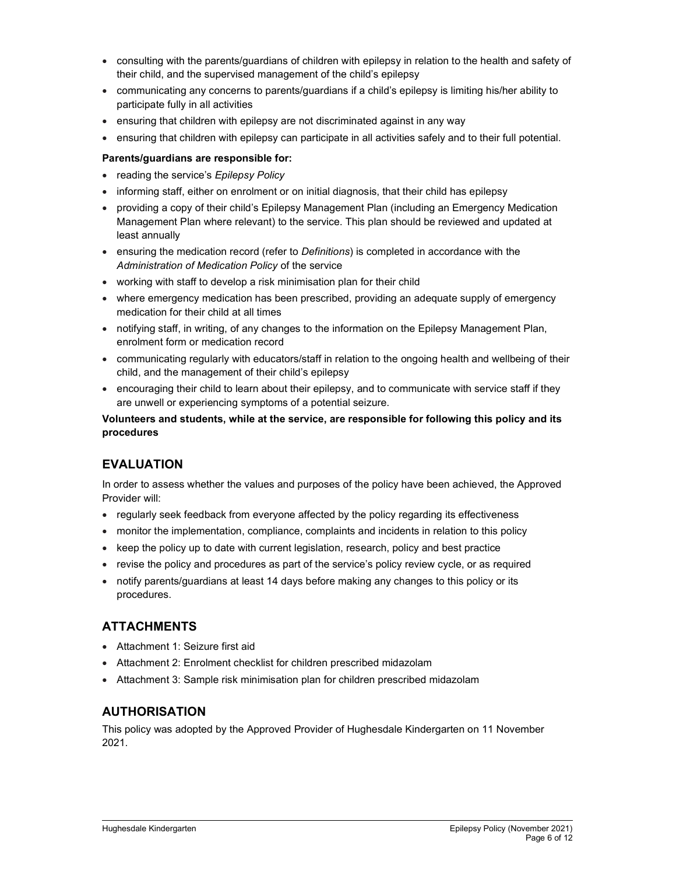- consulting with the parents/guardians of children with epilepsy in relation to the health and safety of their child, and the supervised management of the child's epilepsy
- communicating any concerns to parents/guardians if a child's epilepsy is limiting his/her ability to participate fully in all activities
- ensuring that children with epilepsy are not discriminated against in any way
- ensuring that children with epilepsy can participate in all activities safely and to their full potential.

#### Parents/guardians are responsible for:

- reading the service's Epilepsy Policy
- informing staff, either on enrolment or on initial diagnosis, that their child has epilepsy
- providing a copy of their child's Epilepsy Management Plan (including an Emergency Medication Management Plan where relevant) to the service. This plan should be reviewed and updated at least annually
- ensuring the medication record (refer to Definitions) is completed in accordance with the Administration of Medication Policy of the service
- working with staff to develop a risk minimisation plan for their child
- where emergency medication has been prescribed, providing an adequate supply of emergency medication for their child at all times
- notifying staff, in writing, of any changes to the information on the Epilepsy Management Plan, enrolment form or medication record
- communicating regularly with educators/staff in relation to the ongoing health and wellbeing of their child, and the management of their child's epilepsy
- encouraging their child to learn about their epilepsy, and to communicate with service staff if they are unwell or experiencing symptoms of a potential seizure.

### Volunteers and students, while at the service, are responsible for following this policy and its procedures

## EVALUATION

In order to assess whether the values and purposes of the policy have been achieved, the Approved Provider will:

- regularly seek feedback from everyone affected by the policy regarding its effectiveness
- monitor the implementation, compliance, complaints and incidents in relation to this policy
- keep the policy up to date with current legislation, research, policy and best practice
- revise the policy and procedures as part of the service's policy review cycle, or as required
- notify parents/guardians at least 14 days before making any changes to this policy or its procedures.

## **ATTACHMENTS**

- Attachment 1: Seizure first aid
- Attachment 2: Enrolment checklist for children prescribed midazolam
- Attachment 3: Sample risk minimisation plan for children prescribed midazolam

### AUTHORISATION

This policy was adopted by the Approved Provider of Hughesdale Kindergarten on 11 November 2021.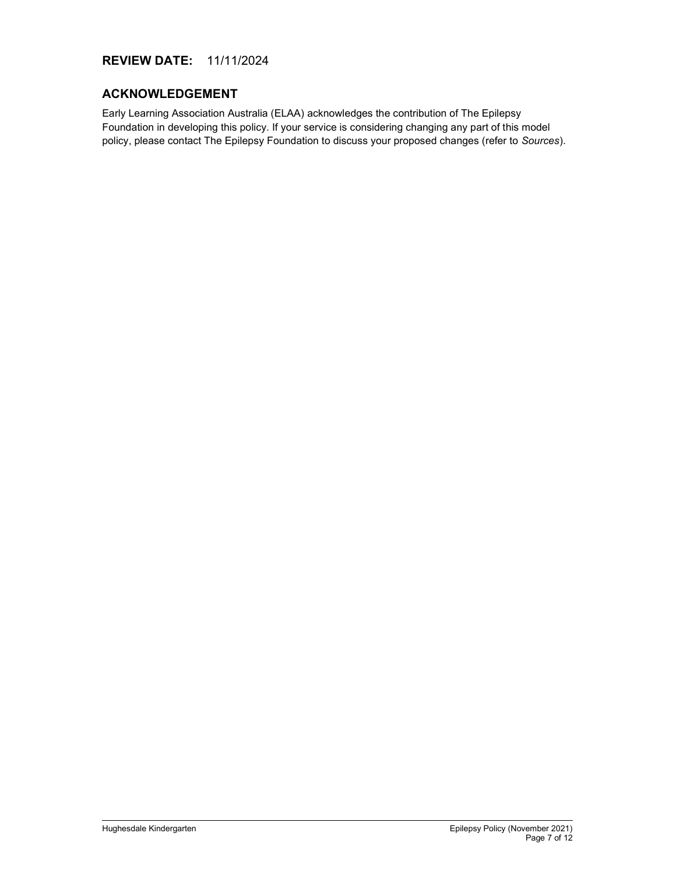## REVIEW DATE: 11/11/2024

### ACKNOWLEDGEMENT

Early Learning Association Australia (ELAA) acknowledges the contribution of The Epilepsy Foundation in developing this policy. If your service is considering changing any part of this model policy, please contact The Epilepsy Foundation to discuss your proposed changes (refer to Sources).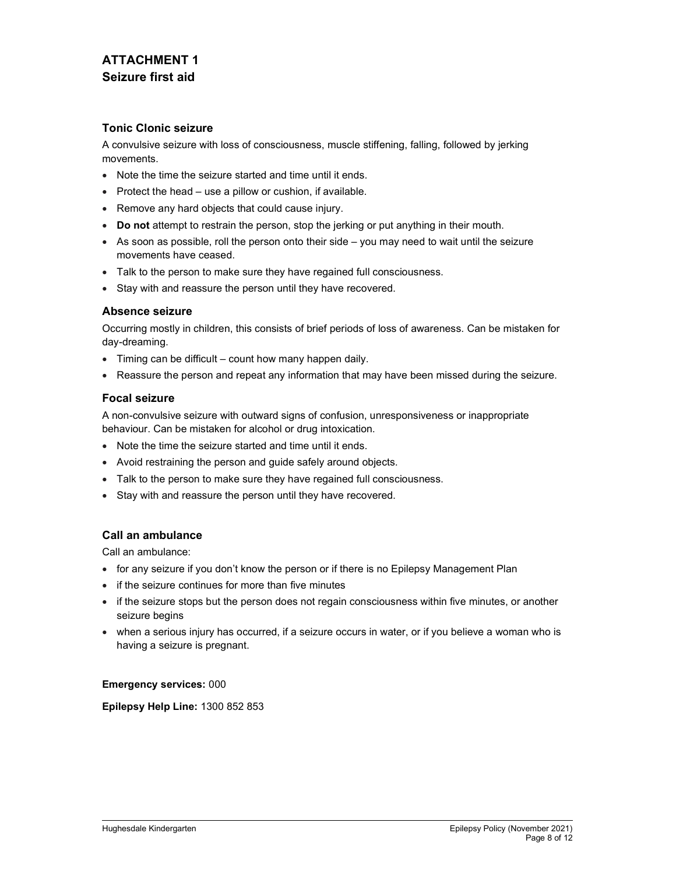# ATTACHMENT 1 Seizure first aid

### Tonic Clonic seizure

A convulsive seizure with loss of consciousness, muscle stiffening, falling, followed by jerking movements.

- Note the time the seizure started and time until it ends.
- Protect the head  $-$  use a pillow or cushion, if available.
- Remove any hard objects that could cause injury.
- Do not attempt to restrain the person, stop the jerking or put anything in their mouth.
- As soon as possible, roll the person onto their side you may need to wait until the seizure movements have ceased.
- Talk to the person to make sure they have regained full consciousness.
- Stay with and reassure the person until they have recovered.

### Absence seizure

Occurring mostly in children, this consists of brief periods of loss of awareness. Can be mistaken for day-dreaming.

- Timing can be difficult count how many happen daily.
- Reassure the person and repeat any information that may have been missed during the seizure.

### Focal seizure

A non-convulsive seizure with outward signs of confusion, unresponsiveness or inappropriate behaviour. Can be mistaken for alcohol or drug intoxication.

- Note the time the seizure started and time until it ends.
- Avoid restraining the person and guide safely around objects.
- Talk to the person to make sure they have regained full consciousness.
- Stay with and reassure the person until they have recovered.

### Call an ambulance

Call an ambulance:

- for any seizure if you don't know the person or if there is no Epilepsy Management Plan
- if the seizure continues for more than five minutes
- if the seizure stops but the person does not regain consciousness within five minutes, or another seizure begins
- when a serious injury has occurred, if a seizure occurs in water, or if you believe a woman who is having a seizure is pregnant.

#### Emergency services: 000

Epilepsy Help Line: 1300 852 853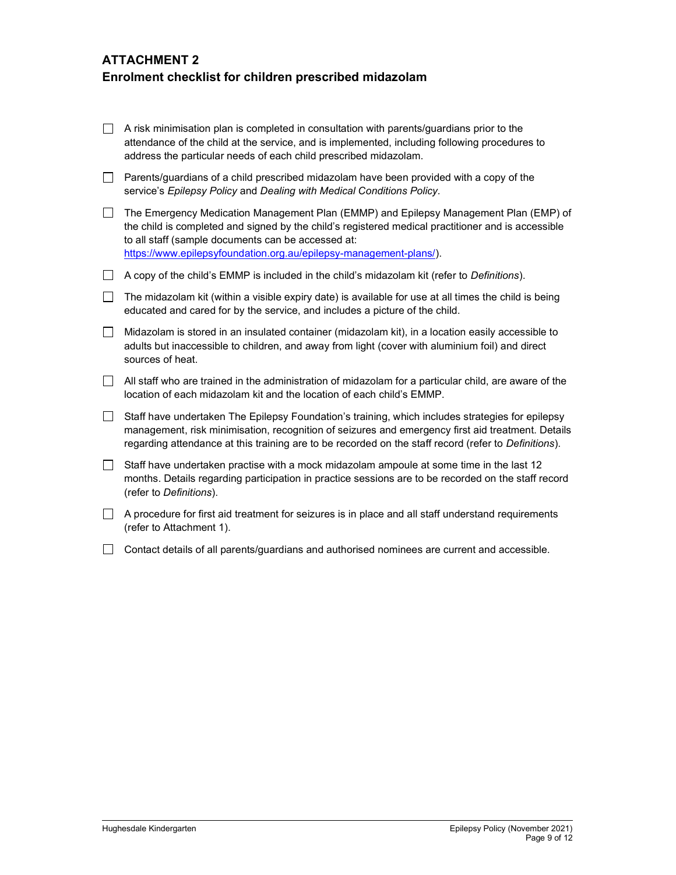# ATTACHMENT 2 Enrolment checklist for children prescribed midazolam

| $\Box$ | A risk minimisation plan is completed in consultation with parents/guardians prior to the<br>attendance of the child at the service, and is implemented, including following procedures to<br>address the particular needs of each child prescribed midazolam.                                                          |
|--------|-------------------------------------------------------------------------------------------------------------------------------------------------------------------------------------------------------------------------------------------------------------------------------------------------------------------------|
| $\Box$ | Parents/guardians of a child prescribed midazolam have been provided with a copy of the<br>service's Epilepsy Policy and Dealing with Medical Conditions Policy.                                                                                                                                                        |
| $\Box$ | The Emergency Medication Management Plan (EMMP) and Epilepsy Management Plan (EMP) of<br>the child is completed and signed by the child's registered medical practitioner and is accessible<br>to all staff (sample documents can be accessed at:<br>https://www.epilepsyfoundation.org.au/epilepsy-management-plans/). |
| $\Box$ | A copy of the child's EMMP is included in the child's midazolam kit (refer to <i>Definitions</i> ).                                                                                                                                                                                                                     |
| $\Box$ | The midazolam kit (within a visible expiry date) is available for use at all times the child is being<br>educated and cared for by the service, and includes a picture of the child.                                                                                                                                    |
| $\Box$ | Midazolam is stored in an insulated container (midazolam kit), in a location easily accessible to<br>adults but inaccessible to children, and away from light (cover with aluminium foil) and direct<br>sources of heat.                                                                                                |
| $\Box$ | All staff who are trained in the administration of midazolam for a particular child, are aware of the<br>location of each midazolam kit and the location of each child's EMMP.                                                                                                                                          |
| $\Box$ | Staff have undertaken The Epilepsy Foundation's training, which includes strategies for epilepsy<br>management, risk minimisation, recognition of seizures and emergency first aid treatment. Details<br>regarding attendance at this training are to be recorded on the staff record (refer to Definitions).           |
| $\Box$ | Staff have undertaken practise with a mock midazolam ampoule at some time in the last 12<br>months. Details regarding participation in practice sessions are to be recorded on the staff record<br>(refer to Definitions).                                                                                              |
| $\Box$ | A procedure for first aid treatment for seizures is in place and all staff understand requirements<br>(refer to Attachment 1).                                                                                                                                                                                          |
|        | Contact details of all parents/guardians and authorised nominees are current and accessible.                                                                                                                                                                                                                            |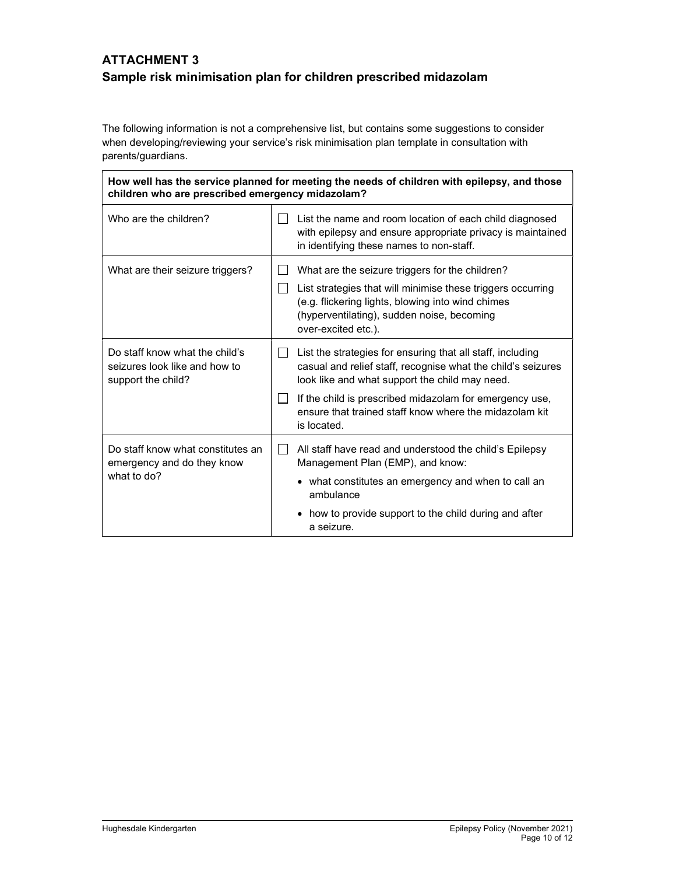# ATTACHMENT 3 Sample risk minimisation plan for children prescribed midazolam

The following information is not a comprehensive list, but contains some suggestions to consider when developing/reviewing your service's risk minimisation plan template in consultation with parents/guardians.

| How well has the service planned for meeting the needs of children with epilepsy, and those<br>children who are prescribed emergency midazolam? |                                                                                                                                                                                                                                                                                                                                  |  |  |  |  |  |
|-------------------------------------------------------------------------------------------------------------------------------------------------|----------------------------------------------------------------------------------------------------------------------------------------------------------------------------------------------------------------------------------------------------------------------------------------------------------------------------------|--|--|--|--|--|
| Who are the children?                                                                                                                           | List the name and room location of each child diagnosed<br>with epilepsy and ensure appropriate privacy is maintained<br>in identifying these names to non-staff.                                                                                                                                                                |  |  |  |  |  |
| What are their seizure triggers?                                                                                                                | What are the seizure triggers for the children?<br>List strategies that will minimise these triggers occurring<br>(e.g. flickering lights, blowing into wind chimes<br>(hyperventilating), sudden noise, becoming<br>over-excited etc.).                                                                                         |  |  |  |  |  |
| Do staff know what the child's<br>seizures look like and how to<br>support the child?                                                           | List the strategies for ensuring that all staff, including<br>$\mathbf{I}$<br>casual and relief staff, recognise what the child's seizures<br>look like and what support the child may need.<br>If the child is prescribed midazolam for emergency use,<br>ensure that trained staff know where the midazolam kit<br>is located. |  |  |  |  |  |
| Do staff know what constitutes an<br>emergency and do they know<br>what to do?                                                                  | All staff have read and understood the child's Epilepsy<br>$\mathsf{L}$<br>Management Plan (EMP), and know:<br>• what constitutes an emergency and when to call an<br>ambulance<br>• how to provide support to the child during and after<br>a seizure.                                                                          |  |  |  |  |  |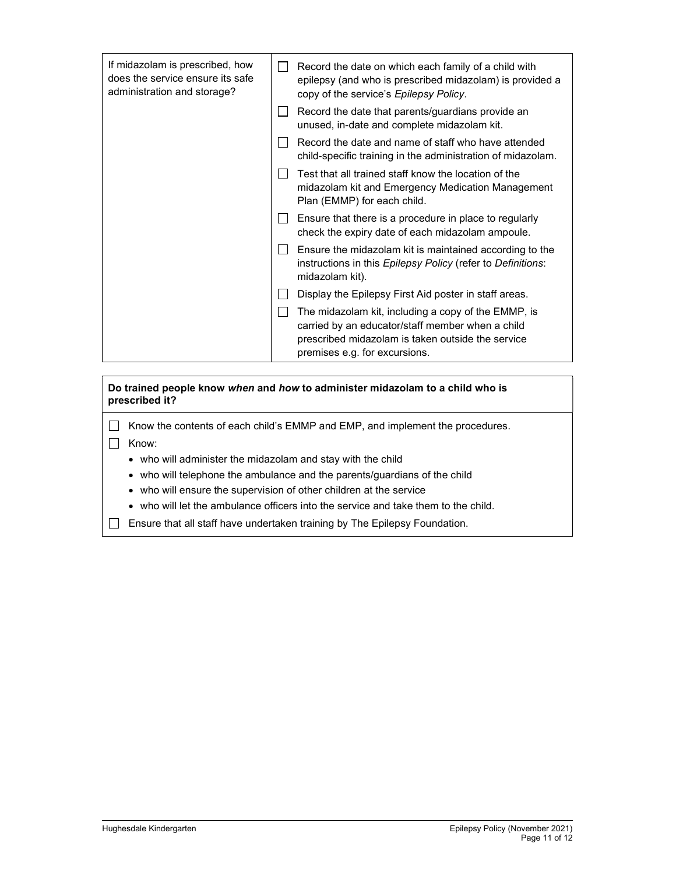| If midazolam is prescribed, how<br>does the service ensure its safe<br>administration and storage? | Record the date on which each family of a child with<br>epilepsy (and who is prescribed midazolam) is provided a<br>copy of the service's Epilepsy Policy.                                    |
|----------------------------------------------------------------------------------------------------|-----------------------------------------------------------------------------------------------------------------------------------------------------------------------------------------------|
|                                                                                                    | Record the date that parents/guardians provide an<br>unused, in-date and complete midazolam kit.                                                                                              |
|                                                                                                    | Record the date and name of staff who have attended<br>child-specific training in the administration of midazolam.                                                                            |
|                                                                                                    | Test that all trained staff know the location of the<br>midazolam kit and Emergency Medication Management<br>Plan (EMMP) for each child.                                                      |
|                                                                                                    | Ensure that there is a procedure in place to regularly<br>check the expiry date of each midazolam ampoule.                                                                                    |
|                                                                                                    | Ensure the midazolam kit is maintained according to the<br>instructions in this Epilepsy Policy (refer to Definitions:<br>midazolam kit).                                                     |
|                                                                                                    | Display the Epilepsy First Aid poster in staff areas.                                                                                                                                         |
|                                                                                                    | The midazolam kit, including a copy of the EMMP, is<br>carried by an educator/staff member when a child<br>prescribed midazolam is taken outside the service<br>premises e.g. for excursions. |

Do trained people know when and how to administer midazolam to a child who is prescribed it?

□ Know the contents of each child's EMMP and EMP, and implement the procedures.

Know:

- who will administer the midazolam and stay with the child
- who will telephone the ambulance and the parents/guardians of the child
- who will ensure the supervision of other children at the service
- who will let the ambulance officers into the service and take them to the child.
- Ensure that all staff have undertaken training by The Epilepsy Foundation.